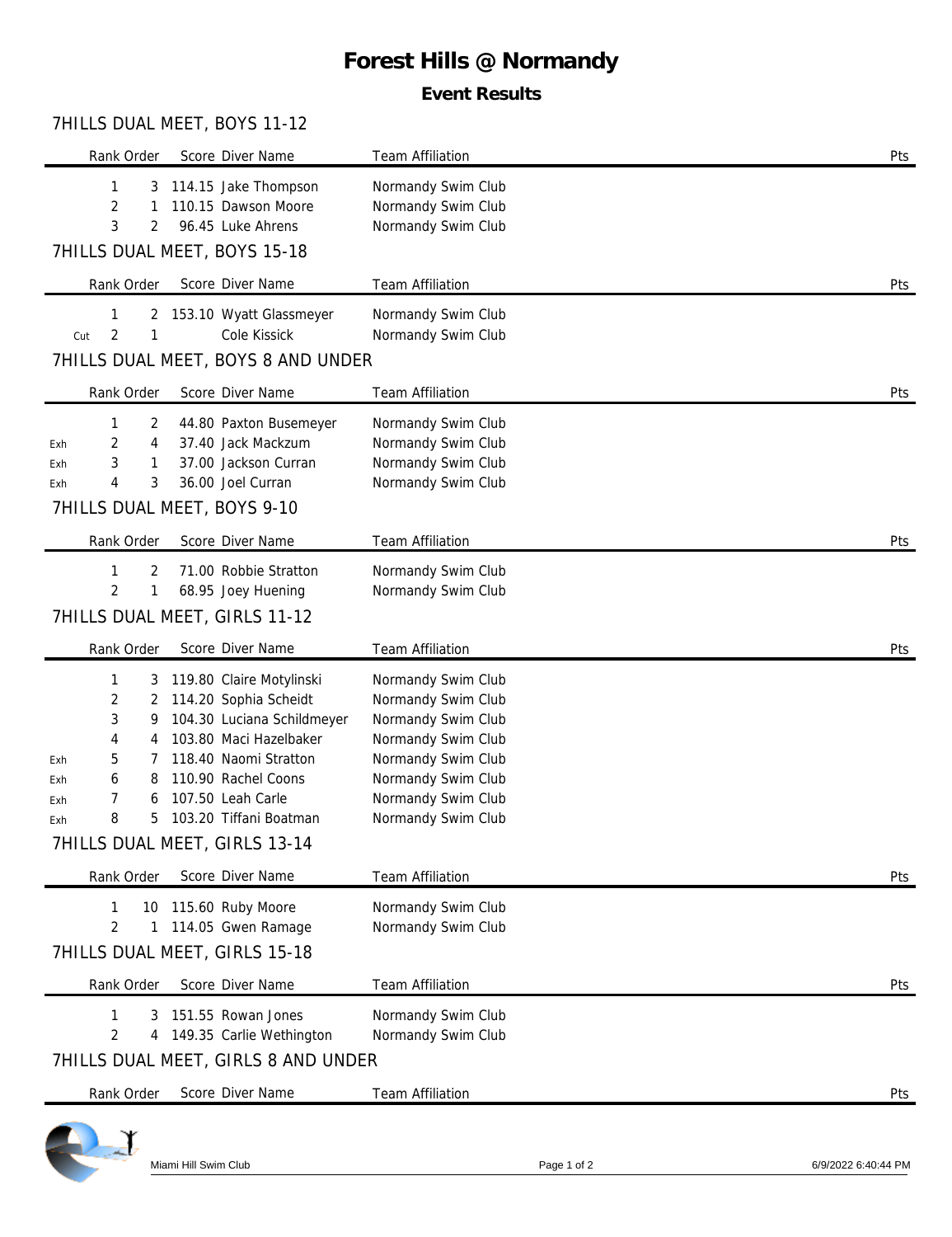# **Forest Hills @ Normandy**

### **Event Results**

#### 7HILLS DUAL MEET, BOYS 11-12

| Rank Order                   | Score Diver Name                          | Team Affiliation                         | Pts |
|------------------------------|-------------------------------------------|------------------------------------------|-----|
| 1<br>3                       | 114.15 Jake Thompson                      | Normandy Swim Club                       |     |
| 2<br>1<br>3<br>2             | 110.15 Dawson Moore<br>96.45 Luke Ahrens  | Normandy Swim Club<br>Normandy Swim Club |     |
| 7HILLS DUAL MEET, BOYS 15-18 |                                           |                                          |     |
| Rank Order                   | Score Diver Name                          | <b>Team Affiliation</b>                  | Pts |
| 1<br>2                       | 153.10 Wyatt Glassmeyer                   | Normandy Swim Club                       |     |
| 2<br>1<br>Cut                | Cole Kissick                              | Normandy Swim Club                       |     |
|                              | 7HILLS DUAL MEET, BOYS 8 AND UNDER        |                                          |     |
| Rank Order                   | Score Diver Name                          | <b>Team Affiliation</b>                  | Pts |
| 2<br>1                       | 44.80 Paxton Busemeyer                    | Normandy Swim Club                       |     |
| 2<br>4<br>Exh                | 37.40 Jack Mackzum                        | Normandy Swim Club                       |     |
| 3<br>1<br>Exh<br>4           | 37.00 Jackson Curran<br>36.00 Joel Curran | Normandy Swim Club<br>Normandy Swim Club |     |
| 3<br>Exh                     |                                           |                                          |     |
| 7HILLS DUAL MEET, BOYS 9-10  |                                           |                                          |     |
| Rank Order                   | Score Diver Name                          | Team Affiliation                         | Pts |
| 1<br>2                       | 71.00 Robbie Stratton                     | Normandy Swim Club                       |     |
| $\overline{2}$<br>1          | 68.95 Joey Huening                        | Normandy Swim Club                       |     |
|                              | 7HILLS DUAL MEET, GIRLS 11-12             |                                          |     |
|                              |                                           |                                          |     |
| Rank Order                   | Score Diver Name                          | <b>Team Affiliation</b>                  | Pts |
| 1<br>3                       | 119.80 Claire Motylinski                  | Normandy Swim Club                       |     |
| 2<br>2                       | 114.20 Sophia Scheidt                     | Normandy Swim Club                       |     |
| 3<br>9                       | 104.30 Luciana Schildmeyer                | Normandy Swim Club                       |     |
| 4<br>4                       | 103.80 Maci Hazelbaker                    | Normandy Swim Club                       |     |
| 5<br>Exh                     | 118.40 Naomi Stratton                     | Normandy Swim Club                       |     |
| 6<br>8<br>Exh                | 110.90 Rachel Coons                       | Normandy Swim Club                       |     |
| 7<br>6<br>Exh                | 107.50 Leah Carle                         | Normandy Swim Club                       |     |
| 8<br>5<br>Exh                | 103.20 Tiffani Boatman                    | Normandy Swim Club                       |     |
|                              | 7HILLS DUAL MEET, GIRLS 13-14             |                                          |     |
| Rank Order                   | Score Diver Name                          | Team Affiliation                         | Pts |
| 1<br>10                      | 115.60 Ruby Moore                         | Normandy Swim Club                       |     |
| 2<br>1                       | 114.05 Gwen Ramage                        | Normandy Swim Club                       |     |
|                              | 7HILLS DUAL MEET, GIRLS 15-18             |                                          |     |
| Rank Order                   | Score Diver Name                          | Team Affiliation                         | Pts |
| 1<br>3                       | 151.55 Rowan Jones                        | Normandy Swim Club                       |     |
| $\overline{2}$<br>4          | 149.35 Carlie Wethington                  | Normandy Swim Club                       |     |
|                              | 7HILLS DUAL MEET, GIRLS 8 AND UNDER       |                                          |     |
| Rank Order                   | Score Diver Name                          | Team Affiliation                         | Pts |